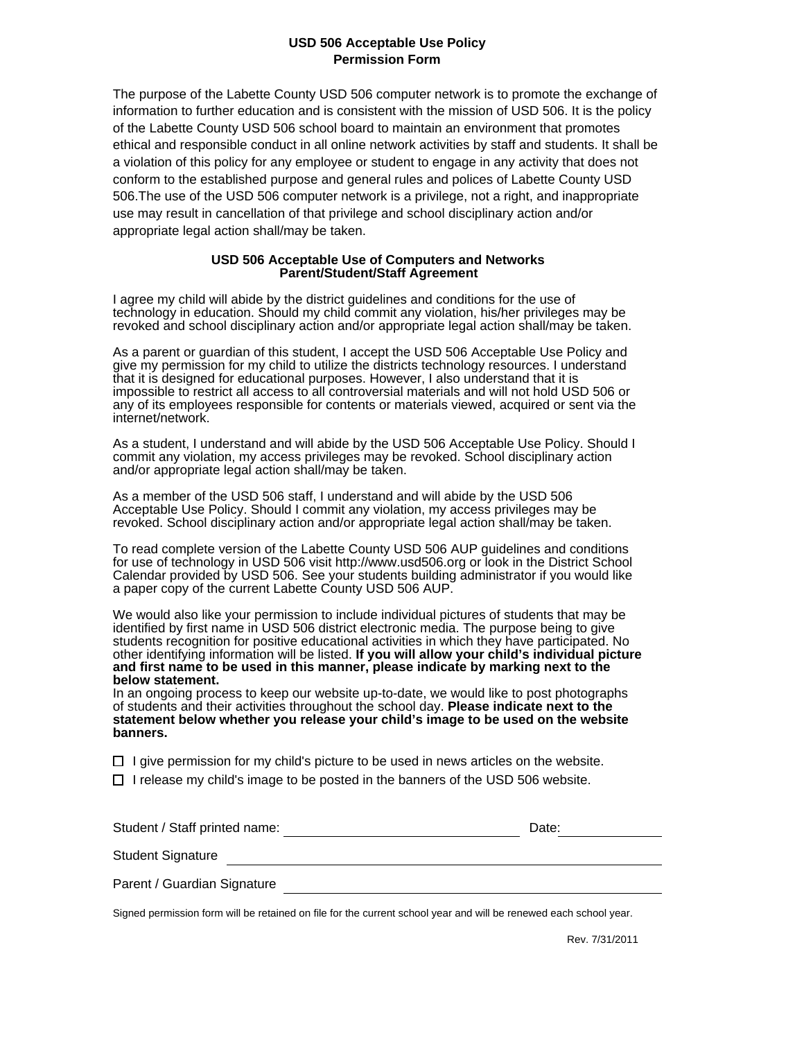#### **USD 506 Acceptable Use Policy Permission Form**

The purpose of the Labette County USD 506 computer network is to promote the exchange of information to further education and is consistent with the mission of USD 506. It is the policy of the Labette County USD 506 school board to maintain an environment that promotes ethical and responsible conduct in all online network activities by staff and students. It shall be a violation of this policy for any employee or student to engage in any activity that does not conform to the established purpose and general rules and polices of Labette County USD 506.The use of the USD 506 computer network is a privilege, not a right, and inappropriate use may result in cancellation of that privilege and school disciplinary action and/or appropriate legal action shall/may be taken.

#### **USD 506 Acceptable Use of Computers and Networks Parent/Student/Staff Agreement**

I agree my child will abide by the district guidelines and conditions for the use of technology in education. Should my child commit any violation, his/her privileges may be revoked and school disciplinary action and/or appropriate legal action shall/may be taken.

As a parent or guardian of this student, I accept the USD 506 Acceptable Use Policy and give my permission for my child to utilize the districts technology resources. I understand that it is designed for educational purposes. However, I also understand that it is impossible to restrict all access to all controversial materials and will not hold USD 506 or any of its employees responsible for contents or materials viewed, acquired or sent via the internet/network.

As a student, I understand and will abide by the USD 506 Acceptable Use Policy. Should I commit any violation, my access privileges may be revoked. School disciplinary action and/or appropriate legal action shall/may be taken.

As a member of the USD 506 staff, I understand and will abide by the USD 506 Acceptable Use Policy. Should I commit any violation, my access privileges may be revoked. School disciplinary action and/or appropriate legal action shall/may be taken.

To read complete version of the Labette County USD 506 AUP guidelines and conditions for use of technology in USD 506 visit http://www.usd506.org or look in the District School Calendar provided by USD 506. See your students building administrator if you would like a paper copy of the current Labette County USD 506 AUP.

We would also like your permission to include individual pictures of students that may be identified by first name in USD 506 district electronic media. The purpose being to give students recognition for positive educational activities in which they have participated. No other identifying information will be listed. **If you will allow your child's individual picture and first name to be used in this manner, please indicate by marking next to the below statement.**

In an ongoing process to keep our website up-to-date, we would like to post photographs of students and their activities throughout the school day. **Please indicate next to the statement below whether you release your child's image to be used on the website banners.**

 $\Box$  I give permission for my child's picture to be used in news articles on the website.

 $\Box$  I release my child's image to be posted in the banners of the USD 506 website.

| Student / Staff printed name: | Date: |
|-------------------------------|-------|
| <b>Student Signature</b>      |       |
| Parent / Guardian Signature   |       |
|                               |       |

Signed permission form will be retained on file for the current school year and will be renewed each school year.